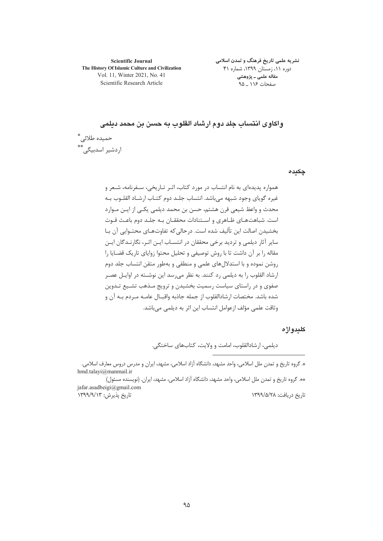**Scientific Journal** The History Of Islamic Culture and Civilization Vol. 11, Winter 2021, No. 41 Scientific Research Article

نشریه علمی تاریخ فرهنگ و تمدن اسلامی دوره ١١، زمستان ١٣٩٩، شماره ۴١ مقاله علمی ـ پژوهشی صفحات ۱۱۶ ۹۵

واكاوى انتساب جلد دوم ارشاد القلوب به حسن بن محمد ديلمي حميده طلائي ٌ اردشیر اسدبیگے ،\*\*

چکیدہ

همواره پدیدهای به نام انتساب در مورد کتاب، اثـر تـاریخی، سـفرنامه، شـعر و غیره گویای وجود شبهه می باشد. انتساب جلـد دوم کتـاب ارشـاد القلـوب بـه محدث و واعظ شیعی قرن هشتم، حسن بن محمد دیلمی یکـی از ایـن مـوارد است. شباهتهای ظـاهری و اسـتنادات محققـان بـه جلـد دوم باعـث قـوت بخشيدن اصالت اين تأليف شده است. درحالي كه تفاوتهـاي محتـوايي آن بـا سایر آثار دیلمی و تردید برخی محققان در انتسـاب ایـن اثـر، نگارنـدگان ایـن مقاله را بر آن داشت تا با روش توصیفی و تحلیل محتوا زوایای تاریک قضـایا را .<br>روشن نموده و با استدلال های علمی و منطقی و بهطور متقن انتساب جلد دوم ارشاد القلوب ,ا به دیلمی ,د کنند. به نظر می, سد این نوشــته در اوایــل عصـر صفوی و در راستای سیاست رسمیت بخشیدن و ترویج مـذهب تشـیع تـدوین شده باشد. مختصات ارشادالقلوب از جمله جاذبه واقبــال عامــه مــردم بــه آن و وثاقت علمی مؤلف ازعوامل انتساب این اثر به دیلمی می،باشد.

### كليدواژه

ديلمي، ارشادالقلوب، امامت و ولايت، كتابهاي ساختگي.

\*. گروه تاریخ و تمدن ملل اسلامی، واحد مشهد، دانشگاه آزاد اسلامی، مشهد، ایران و مدرس دروس معارف اسلامی. hmd.talayi@manmail.ir

\*\*. گروه تاریخ و تمدن ملل اسلامی، واحد مشهد، دانشگاه آزاد اسلامی، مشهد، ایران. (نویسنده مسئول) jafar.asadbeigi@gmail.com تاریخ پذیرش: ۱۳۹۹/۹/۱۳ تاريخ دريافت: ١٣٩٩/۵/٢٨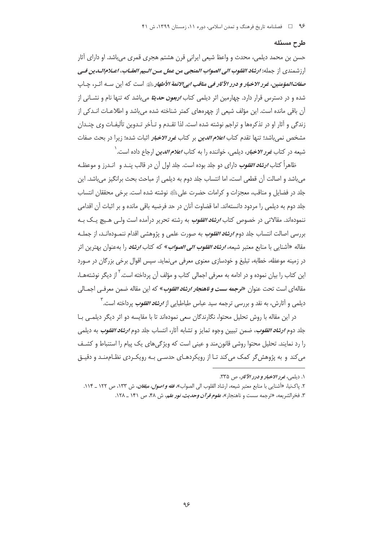#### طرح مسئله

حسن بن محمد دیلمی، محدث و واعظ شیعی ایرانی قرن هشتم هجری قمری میباشد. او دارای آثار ارزشمندي از جمله: *ارشاد القلوب الي الصواب المنجي من عمل مـن الـيم العقـاب، اعـلام|لـدين فـي* ص*فاتالمؤمنين، غو ر الاخبار و درر الآثار في مناقب ابي الائمة الأطهار بيلة* است كه اين سـه اثـر، چـاپ شده و در دسترس قرار دارد. چهارمین اثر دیلمی کتاب *اربعون حدیثا* میباشد که تنها نام و نشــانی از آن باقی مانده است. این مؤلف شیعی از چهرههای کمتر شناخته شده می باشد و اطلاعـات انـدکی از زندگی و آثار او در تذکرهها و تراجم نوشته شده است. لذا تقـدم و تـأخر تـدوین تألیفـات وی چنـدان مشخص نمی باشد؛ تنها تقدم کتاب *اعلام الدین* بر کتاب *غور الاخبار* اثبات شده؛ زیرا در بحث صفات شبعه در کتاب *غو ر الاخبار*، دیلمی، خواننده را به کتاب *اعلام الدین* ارجاع داده است. <sup>(</sup>

ظاهراً کتاب *ارشاد القلوب* دارای دو جلد بوده است. جلد اول آن در قالب پنـد و انـدرز و موعظـه می باشد و اصالت آن قطعی است، اما انتساب جلد دوم به دیلمی از مباحث بحث برانگیز می باشد. این جلد در فضایل و مناقب، معجزات و کرامات حضرت علیﷺ نوشته شده است. برخی محققان انتساب جلد دوم به دیلمی را مردود دانستهاند. اما قضاوت آنان در حد فرضیه باقی مانده و بر اثبات آن اقدامی ننمودهاند. مقالاتی در خصوص کتاب *ا<mark>رشاد القلوب</mark> به رشته تحریر در*آمده است ولـی هـیچ یـک بـه بررسی اصالت انتساب جلد دوم *ارشاد القلوب* به صورت علمی و پژوهشی اقدام ننمـودهانـد، از جملـه مقاله «آشنای<sub>ی</sub> با منابع معتبر شیعه، *ارشاد القلوب الی الصواب*» که کتاب *ارشاد* را بهعنوان بهترین اثر در زمینه موعظه، خطابه، تبلیغ و خودسازی معنوی معرفی مینماید. سپس اقوال برخی بزرگان در مـورد این کتاب را بیان نموده و در ادامه به معرفی اجمالی کتاب و مؤلف آن پرداخته است.<sup>۲</sup> از دیگر نوشتههـا، مقالهای است تحت عنوان «*توجمه سست و ناهنجار ارشاد القلوب»* که این مقاله ضمن معرفـي اجمــالي دیلمی و آثارش، به نقد و بررسی ترجمه سید عباس طباطبایی از *ارش<i>اد القلوب* پرداخته است. <sup>۳</sup>

در این مقاله با روش تحلیل محتوا، نگارندگان سعی نمودهاند تا با مقایسه دو اثر دیگر دیلمبی بـا جلد دوم *ارشاد القلوب،* ضمن تبيين وجوه تمايز و تشابه آثار، انتساب جلد دوم *ارشاد القلوب* به ديلمي را رد نمایند. تحلیل محتوا روشی قانون مند و عینی است که ویژگی های یک پیام را استنباط و کشـف می کند و به پژوهش گر کمک می کند تـا از رویکردهـای حدسـی بـه رویکـردی نظـاممنـد و دقیـق

١. ديلمي، غرر الاخبار و درر الآثار، ص ٣٣٥.

۲. ياكنيا، «آشنايي با منابع معتبر شيعه، ارشاد القلوب الي الصواب»، *فقه و اصول، مبلغان*، ش ۱۳۳، ص ۱۲۲ \_ ۱۱۴. ٣. فخرالشريعه، «ترجمه سست و ناهنجار»، *علوم قرآن وحديث، نور علم*، ش ۴۸، ص ۱۴۱ \_ ۱۲۸.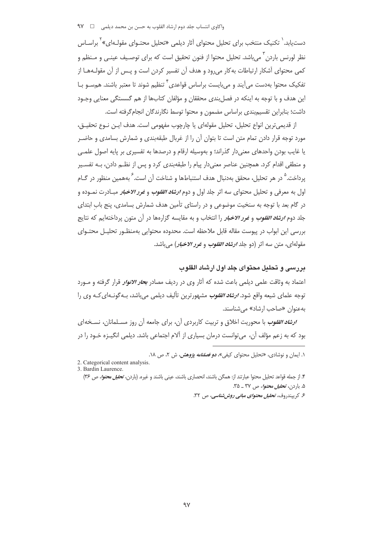دست،یابد.<sup>\</sup> تکنیک منتخب برای تحلیل محتوای آثار دیلمی «تحلیل محتـوای مقولـهای»<sup>۲</sup> براسـاس نظر لورنس باردن ٰ می باشد. تحلیل محتوا از فنون تحقیق است که برای توصـیف عینـی و مـنظم و کمی محتوای آشکار ارتباطات به کار می رود و هدف آن تفسیر کردن است و پـس از آن مقولـههـا از تفکیک محتوا بهدست می آیند و می بایست براساس قواعدی<sup>۴</sup> تنظیم شوند تا معتبر باشند. همسـو بـا این هدف و با توجه به اینکه در فصل بندی محققان و مؤلفان کتابها از هم گسستگی معنایی وجـود داشت؛ بنابراین تقسیم بندی براساس مضمون و محتوا توسط نگارندگان انجام گرفته است.

از قديمي ترين انواع تحليل، تحليل مقولهاي يا چارچوب مفهومي است. هدف ايـن نـوع تحقيـق، مورد توجه قرار دادن تمام متن است تا بتوان آن را از غربال طبقهبندی و شمارش بسامدی و حاضـر یا غایب بودن واحدهای معنی دار گذراند؛ و بهوسیله ارقام و درصدها به تفسیری بر پایه اصول علمـی و منطقی اقدام کرد. همچنین عناصر معنیدار پیام را طبقهبندی کرد و پس از نظـم دادن، بـه تفسـیر يرداخت. <sup>0</sup> در هر تحليل، محقق بهدنبال هدف استنباطها و شناخت آن است. <sup>7</sup> بههمين منظور در گــام اول به معرفی و تحلیل محتوای سه اثر جلد اول و دوم *ارشاد القلوب و غرر <i>الاخبار* **مبـاد**رت نمـوده و در گام بعد با توجه به سنخیت موضوعی و در راستای تأمین هدف شمارش بسامدی، پنج باب ابتدای جلد دوم *ارشاد القلوب و غرر الاخبار* را انتخاب و به مقایسه گزارهها در آن متون پرداختهایم که نتایج بررسی این ابواب در پیوست مقاله قابل ملاحظه است. محدوده محتوایی بهمنظـور تحلیـل محتـوای مقولهای، متن سه اثر (دو جلد *ارشاد انقلوب و غرر الاخبار) می باشد.* 

## در سے و تحلیل محتوای جلد اول ارشاد القلوب

اعتماد به وثاقت علمی دیلمی باعث شده که آثار وی در ردیف مصادر ب*حار الانوار* قرار گرفته و مـورد توجه علمای شیعه واقع شود. *ارشاد القلوب* مشهورترین تألیف دیلمی می باشد، بـه گونـهای *ک*ـه وی را به عنوان «صاحب ارشاد» می شناسند.

ار*شاد القلوب* با محوریت اخلاق و تربیت کاربردی آن، برای جامعه آن روز مسـلمانان، نسـخهای بود که به زعم مؤلف آن، می توانست درمان بسیاری از آلام اجتماعی باشد. دیلمی انگیـزه خـود را در

2. Categorical content analysis. 3. Bardin Laurence.

۴. از جمله قواعد تحلیل محتوا عبارتند از: همگن باشند، انحصاری باشند، عینی باشند و غیره. (باردن، *تحلیل محتوا*، ص ۳۶) ۵. باردن، تح*لیل محتوا*، ص ۳۷ ـ ۳۵.

۶. کریپندروف، تح*لیل محتوای مبانی روش شناسی، ص ۳۲*.

۱. ایمان و نوشادی، «تحلیل محتوای کیفی»، *دو فصلنامه پژوهش*، ش ۲، ص ۱۸.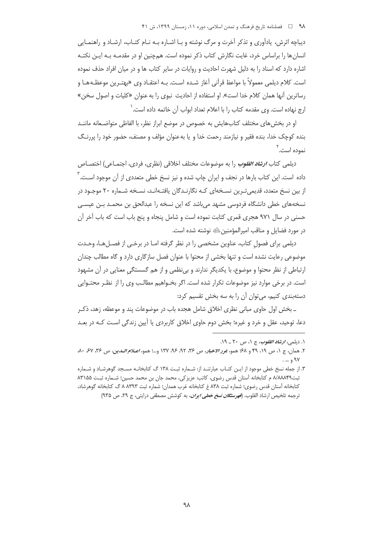دیباچه اثرش، پادآوری و تذکر آخرت و مرگ نوشته و بـا اشـاره بـه نـام کتـاب، ارشـاد و راهنمـایی انسان ها را براساس خرد، غایت نگارش کتاب ذکر نموده است. همچنین او در مقدمـه بـه ایـن نکتـه اشاره دارد که اسناد را به دلیل شهرت احادیث و روایات در سایر کتاب ها و در میان افراد حذف نموده است. كلام ديلمي معمولاً با مواعظ قرآني آغاز شـده اسـت. بـه اعتقـاد وي «بهتـرين موعظـههـا و رساترین آنها همان کلام خدا است». او استفاده از احادیث نبوی را به عنوان «کلیات و اصول سخن» ارج نهاده است. وي مقدمه كتاب را با اعلام تعداد ابواب آن خاتمه داده است. ٰ

او در بخش های مختلف کتابهایش به خصوص در موضع ابراز نظر، با الفاظی متواضـعانه ماننــد بنده کوچک خدا، بنده فقیر و نیازمند رحمت خدا و یا بهعنوان مؤلف و مصنف، حضور خود را پررنگ نموده اس*ت*.<sup>۲</sup>

ديلمي كتاب *ارشاد القلوب* را به موضوعات مختلف اخلاقي (نظري، فردي، اجتمـاعي) اختصــاص داده است. این کتاب بارها در نجف و ایران چاپ شده و نیز نسخ خطی متعددی از آن موجود اسـت. <sup>'</sup> از بین نسخ متعدد، قدیمی تـرین نسـخهای کـه نگارنـدگان یافتـهانـد، نسـخه شـماره ۲۰ موجـود در نسخههای خطی دانشگاه فردوسی مشهد میباشد که این نسخه را عبدالحق بن محمـد بـن عیسـی حسنی در سال ۹۷۱ هجری قمری کتابت نموده است و شامل پنجاه و پنج باب است که باب آخر آن در مورد فضایل و مناقب امیرالمؤمنین ﷺ نوشته شده است.

دیلمی برای فصول کتاب، عناوین مشخصی را در نظر گرفته امـا در برخـی از فصـلهـا، وحـدت موضوعی رعایت نشده است و تنها بخشی از محتوا با عنوان فصل سازگاری دارد و گاه مطالب چندان ارتباطی از نظر محتوا و موضوع، با یکدیگر ندارند و بی نظمی و از هم گسستگی معنایی در آن مشهود است. در برخی موارد نیز موضوعات تکرار شده است. اگر بخـواهیم مطالـب وی را از نظـر محتـوایی دستهبندی کنیم، میتوان آن را به سه بخش تقسیم کرد:

ـ بخش اول حاوی مبانی نظری اخلاق شامل هجده باب در موضوعات پند و موعظه، زهد، ذکـر دعا، توحید، عقل و خرد و غیره؛ بخش دوم حاوی اخلاق کاربردی یا آیین زندگی است کـه در بعـد

١. ديلمي، *ارشاد القلوب*، ج ١، ص ٢٠ ـ ١٩.

٢. همان، ج ١، ص ١٩، ٤٩ و ٤٨؛ همو، *غور الاخبار، ص ٣*٣، ٩٢، ٩٤، ١٣٧ و...؛ همو، *اعـلام الـدين، ص ٣٤، ٥٧،* ٨٠، ۹۷ و … .

۳. از جمله نسخ خطی موجود از ایـن کتـاب عبارتنـد از: شـماره ثبـت ۱۳۸ گ کتابخانـه مسـجد گوهرشـاد و شـماره ثبت٢٩٨٨٨٩ م كتابخانه آستان قدس رضوى، كاتب: عزيزكي، محمد جان بن محمد حسين؛ شـماره ثبـت ٨٣١۵۵ کتابخانه آستان قدس رضوی؛ شماره ثبت ۸۳۸ غ کتابخانه غرب همدان؛ شماره ثبت ۸۸۳۹۳ گ کتابخانه گوهرشاد، ترجمه تلخیص ارشاد القلوب. (*فهرستگان نسخ خطی ایران*، به کوشش مصطفی درایتی، ج ۲۹، ص ۹۳۵)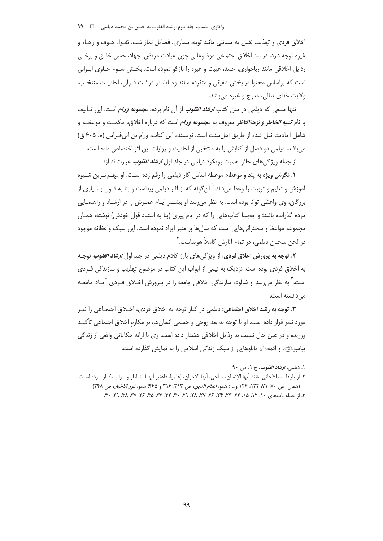اخلاق فردی و تهذیب نفس به مسائلی مانند توبه، بیماری، فضایل نماز شب، تقـوا، خـوف و رجـاء و غیره توجه دارد. در بعد اخلاق اجتماعی موضوعاتی چون عیادت مریض، جهاد، حسن خلـق و برخـی رذایل اخلاقی مانند رباخواری، حسد، غیبت و غیره را بازگو نموده است. بخـش سـوم حـاوی ابـوابی است که براساس محتوا در بخش تلفیقی و متفرقه مانند وصایا، در قرائت قــرآن، احادیـث منتخـب، ولايت خدای تعالی، معراج و غيره می باشد.

تنها منبعی که دیلمی در متن کتاب *ارشاد القلوب* از آن نام برده، م*جموعه ورام* است. این تـألیف با نام *تنبیه الخاطر و نزهةالناظ*ر معروف به م*جموعه ورام* است که درباره اخلاق، حکمـت و موعظـه و شامل احاديث نقل شده از طريق اهلسنت است. نويسنده اين كتاب، ورام بن ابي فـراس (م. ۶۰۵ ق) می باشد. دیلمی دو فصل از کتابش را به منتخبی از احادیث و روایات این اثر اختصاص داده است.

از جمله ویژگیهای حائز اهمیت رویکرد دیلمی در جلد اول *ارشاد القلوب ع*بارتاند از:

**۱. نگرش ویژه به پند و موعظه:** موعظه اساس کار دیلمی را رقم زده اسـت. او مهــمتـرین شــیوه آموزش و تعلیم و تربیت را وعظ می داند.<sup>\</sup> آن گونه که از آثار دیلمی پیداست و بنا به قــول بســیاری از بزرگان، وی واعظی توانا بوده است. به نظر می رسد او بیشـتر ایـام عمـرش را در ارشـاد و راهنمـایی مردم گذرانده باشد؛ و چهبسا کتابهایی را که در ایام پیری (بنا به استناد قول خودش) نوشته، همـان مجموعه مواعظ و سخنرانی هایی است که سال ها بر منبر ایراد نموده است. این سبک واعظانه موجود در لحن سخنان دیلمی، در تمام آثارش کاملاً هویداست.<sup>۲</sup>

**۲.** توجه به پرورش اخلاق فردي: از ويژگيهاي بارز كلام ديلمي در جلد اول *ارشاد القلوب* توجـه به اخلاق فردی بوده است. نزدیک به نیمی از ابواب این کتاب در موضوع تهذیب و سازندگی فـردی است. <sup>۲</sup> به نظر می رسد او شالوده سازندگی اخلاقی جامعه را در پـرورش اخـلاق فـردی آحـاد جامعـه می دانسته است.

**۳. توجه به رشد اخلاق اجتماعی:** دیلمی در کنار توجه به اخلاق فردی، اخــلاق اجتمــاعی را نیــز مورد نظر قرار داده است. او با توجه به بعد روحی و جسمی انسانها، بر مکارم اخلاق اجتماعی تأکیـد ورزیده و در عین حال نسبت به رذایل اخلاقی هشدار داده است. وی با ارائه حکایاتی واقعی از زندگی پیامبرﷺ و ائمهﷺ تابلوهایی از سبک زندگی اسلامی را به نمایش گذارده است.

۰۱ دیلمي، *ارشاد القلوب*، ج ۰۱ ص ۹۰.

٢. او بارها اصطلاحاتي مانند أيها الإنسان، يا أخي، أيها الأخوان، إعلموا، فاعتبر أيهـا النـاظر و… را بـﻪكـار بـرده اسـت. (همان، ص ٧٠، ٧١، ١٢٢، ١٢۴ و... ؛ همو، اعلام الدين، ص ٣١٣، ٣١٤ و ٤٤٤؛ همو، نمور الاخبار، ص ٣٣٨)

٣. از جمله بابهای ١٠، ١٢، ١٥، ٢٢، ٣٣، ٣٣، ٢۶، ٢٧، ٢٨، ٢٩، ٣٠، ٣٣، ٣٥، ٣٥، ٣٧، ٣٨، ٣٩، ٠٠.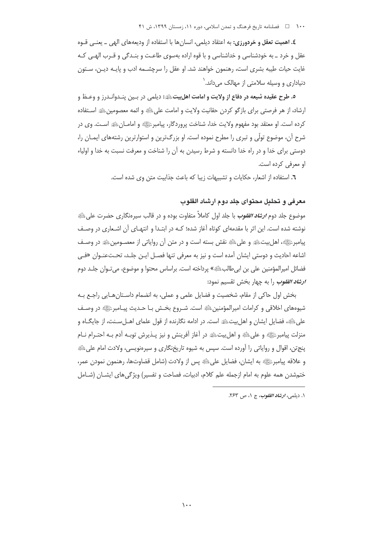**٤. اهميت تعقل و خردورزي:** به اعتقاد ديلمي، انسان ها با استفاده از وديعههاي الهي \_ يعنـي قـوه عقل و خرد ـ به خودشناسی و خداشناسی و با قوه اراده بهسوی طاعـت و بنـدگی و قـرب الهـی کـه غايت حيات طيبه بشرى است، رهنمون خواهند شد. او عقل را سرچشــمه ادب و پايـه ديـن، ســتون دنیاداری و وسیله سلامتی از مهالک می داند.<sup>\</sup>

٥. طرح عقيده شيعه در دفاع از ولايت و امامت اهلييتﷺ: ديلمي در بـين ينـدوانـدرز و وعـظ و ارشاد، از هر فرصتی برای بازگو کردن حقانیت ولایت و امامت علیﷺ و ائمه معصومینﷺ اسـتفاده کرده است. او معتقد بود مفهوم ولايت خدا، شناخت پروردگار، پيامبرﷺ و امامـانﷺ اسـت. وي در شرح آن، موضوع تولّی و تبری را مطرح نموده است. او بزرگ¤رین و استوارترین رشتههای ایمـان را، دوستی برای خدا و در راه خدا دانسته و شرط رسیدن به آن را شناخت و معرفت نسبت به خدا و اولیاء او معرفی کرده است.

٦. استفاده از اشعار، حكايات و تشبيهات زيبا كه باعث جذابيت متن وى شده است.

# معرفي و تحليل محتواي جلد دوم ارشاد القلوب

موضوع جلد دوم *ارش<i>اد القلوب* **با جلد اول کاملاً متفاوت بوده و در** قالب سیرونگاری حضرت علی ﷺ نوشته شده است. این اثر با مقدمهای کوتاه آغاز شده؛ کـه در ابتـدا و انتهـای آن اشـعاری در وصـف پيامبرﷺ، اهل بيتﷺ و على ﷺ نقش بسته است و در متن أن رواياتي از معصـومينﷺ در وصـف اشاعه احاديث و دوستي ايشان اَمده است و نيز به معرفي تنها فصـل ايـن جلـد، تحـتعنـوان «فـي فضائل امیرالمؤمنین علی بن ابی طالبﷺ» پرداخته است. براساس محتوا و موضوع، می تـوان جلــد دوم *ارشاد القلوب* را به چهار بخش تقسیم نمود:

بخش اول حاکی از مقام، شخصیت و فضایل علمی و عملی، به انضمام داسـتانهـایی راجـع بـه شیوههای اخلاقی و کرامات امیرالمؤمنین ﷺ است. شـروع بخـش بـا حـدیث پیـامبرﷺ در وصـف علی ﷺ، فضایل ایشان و اهل بیت ﷺ است. در ادامه نگارنده از قول علمای اهــل ســنت، از جایگــاه و منزلت پيامبرﷺ و على ﷺ و اهل بيتﷺ در آغاز آفرينش و نيز پــذيرش توبـه آدم بـه احتـرام نــام پنج تن، اقوال و رواياتي را آورده است. سپس به شيوه تاريخنگاري و سپرهنويسي، ولادت امام علي ﷺ و علاقه پيامبرﷺ به ايشان، فضايل علىﷺ پس از ولادت (شامل قضاوتها، رهنمون نمودن عمر، ختم شدن همه علوم به امام ازجمله علم كلام، ادبيات، فصاحت و تفسير) ويژگىهاى ايشــان (شــامل

۱. دیلمي، *ارشاد القلوب*، ج ۱، ص ۲۶۳.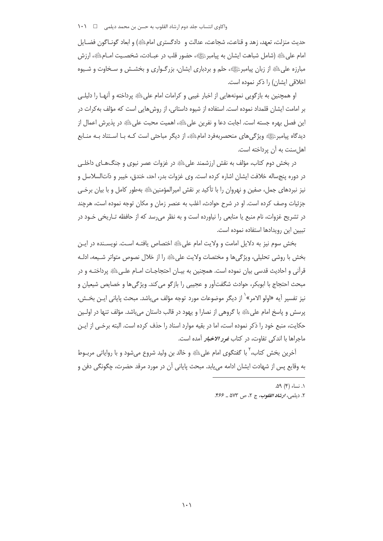حديث منزلت، تعهد، زهد و قناعت، شجاعت، عدالت و دادگستري امام ﷺ) و ابعاد گونــاگون فضــايل امام على ِلتَّةِ (شامل شباهت ايشان به پيامبرﷺ، حضور قلب در عبـادت، شخصـيت امـامِلَّةِ، ارزش مبارزه علی ﷺ از زبان پیامبرﷺ، حلم و بردباری ایشان، بزرگـواری و بخشـش و سـخاوت و شـیوه اخلاقی ایشان) را ذکر نموده است.

او همچنین به بازگویی نمونههایی از اخبار غیبی و کرامات امام علیﷺ پرداخته و آنهـا را دلیلـی بر امامت ایشان قلمداد نموده است. استفاده از شیوه داستانی، از روش هایی است که مؤلف به کرات در این فصل بهره جسته است. اجابت دعا و نفرین علیﷺ، اهمیت محبت علیﷺ در پذیرش اعمال از دیدگاه پیامبرﷺ ویژگیهای منحصربهفرد امامﷺ، از دیگر مباحثی است کـه بـا اسـتناد بـه منــابع اهل سنت به آن پرداخته است.

در بخش دوم کتاب، مؤلف به نقش ارزشمند علیﷺ در غزوات عصر نبوی و جنگهـای داخلـی در دوره پنجساله خلافت ایشان اشاره کرده است. وی غزوات بدر، احد، خندق، خیبر و ذاتالسلاسل و نیز نبردهای جمل، صفین و نهروان را با تأکید بر نقش امپرالمؤمنینﷺ بهطور کامل و با بیان برخـی جزئيات وصف كرده است. او در شرح حوادث، اغلب به عنصر زمان و مكان توجه نموده است، هرچند در تشریح غزوات، نام منبع یا منابعی را نیاورده است و به نظر می رسد که از حافظه تـاریخی خـود در تبیین این رویدادها استفاده نموده است.

بخش سوم نيز به دلايل امامت و ولايت امام على ﷺ اختصاص يافتـه اسـت. نويسـنده در ايـن بخش با روشی تحلیلی، ویژگی ها و مختصات ولایت علی ﷺ را از خلال نصوص متواتر شـیعه، ادلـه قرآنی و احادیث قدسی بیان نموده است. همچنین به بیـان احتجاجـات امـام علـیﷺ پرداختـه و در مبحث احتجاج با ابوبکر، حوادث شگفتآور و عجیبی را بازگو می کند. ویژگی ها و خصایص شیعیان و نيز تفسير آيه «اولو الامر» ٰ از ديگر موضوعات مورد توجه مؤلف ميباشد. مبحث پاياني ايـن بخـش، پرسش و پاسخ امام علیﷺ با گروهی از نصارا و یهود در قالب داستان میباشد. مؤلف تنها در اولـین حکایت، منبع خود را ذکر نموده است، اما در بقیه موارد اسناد را حذف کرده است. البته برخـی از ایـن ماجراها با اندکی تفاوت، در کتاب *غور الاخبار آمده است.* 

آخرین بخش کتاب، ٰ با گفتگوی امام علیﷺ و خالد بن ولید شروع می،شود و با روایاتی مربـوط به وقايع پس از شهادت ايشان ادامه مي يابد. مبحث پاياني آن در مورد مرقد حضرت، چگونگي دفن و

١. نساء (۴) ۵۹.

٢. ديلمي، *ارشاد القلوب*، ج ٢، ص ٥٧٣ ـ ٤۶۶.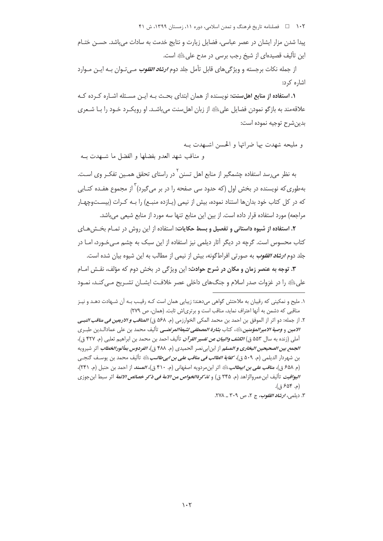پیدا شدن مزار ایشان در عصر عباسی، فضایل زیارت و نتایج خدمت به سادات میباشد. حســن ختــام این تألیف قصیدهای از شیخ رجب برسی در مدح علی ﷺ است.

از جمله نکات برجسته و ویژگیهای قابل تأمل جلد دوم *ارش<mark>اد القلوب</mark> مـی*تـوان بـه ایـن مـوارد اشاره کرد:

<mark>۱. استفاده از منابع اهل سنت:</mark> نویسنده از همان ابتدای بحـث بـه ایـن مسـئله اشـاره کـرده کـه علاقه مند به بازگو نمودن فضایل علیﷺ از زبان اهل سنت می باشـد. او رویکـرد خـود را بـا شـعری بدين شرح توجيه نموده است:

و مليحه شهدت بها ضراتها و الحسن اشبهدت بـه و مناقب شهد العدو بفضلها و الفضل ما شــهدت بــه

به نظر میرسد استفاده چشمگیر از منابع اهل تسنن <sup>۲</sup> در راستای تحقق همـین تفکـر وی اسـت. بهطوری که نویسنده در بخش اول (که حدود سی صفحه را در بر می گیرد) <sup>۳</sup> از مجموع هفـده کتـابی که در کل کتاب خود بدانها استناد نموده، بیش از نیمی (پـازده منبـع) را بـه کـرات (بیسـتوچهـار مراجعه) مورد استفاده قرار داده است. از بین این منابع تنها سه مورد از منابع شیعی می باشد.

۲. استفاده از شیوه داستانی و تفصیل و بسط حکایات: استفاده از این روش در تمـام بخـش هـای کتاب محسوس است. گرچه در دیگر آثار دیلمی نیز استفاده از این سبک به چشم مـی خـورد، امـا در جلد دوم *ارشاد القلوب* به صورتی افراطگونه، بیش از نیمی از مطالب به این شیوه بیان شده است.

**٣.** توجه به عنصر زمان و مكان در شرح حوادث: اين ويژگي در بخش دوم كه مؤلف، نقـش امـام علی ﷺ را در غزوات صدر اسلام و جنگهای داخلی عصر خلافت ایشــان تشــریح مــی کنــد، نمــود

٣. ديلمي، *ارش<mark>اد القلوب</mark>، ج* ٢، ص ٣٠٩ ـ ٢٧٨.

۱. ملیح و نمکینی که رقیبان به ملاحتش گواهی می(هند؛ زیبایی همان است کـه رقیـب بـه آن شـهادت دهـد و نیـز مناقبی که دشمن به آنها اعتراف نماید، مناقب است و برتریاش ثابت. (همان، ص ٢٧٩)

٢. از جمله: دو اثر از الموفق بن احمد بن محمد المكي الخوارزمي (م. ۵۶۸ ق) *المناقب و الاربعين في مناقب النبـي الامين* و *وصية الامير المؤمنين ﷺ،* كتاب *بشارة المصطفى لشيعةالمرتضـي* تأليف محمد بن على عمادالـدين طبـري .<br>آملي (زنده به سال ۵۵۳ ق) *الكشف والبيان عن تفسير القرآن* تأليف احمد بن محمد بن ابراهيم ثعلبي (م. ۴۲۷ ق)، *الجمع بين الصحيحين البخاري و المسل*م از ابن|بي نصر الحميدي (م. ۴۸۸ ق)، *الفردوس بمأثورالخطاب* اثر شيرويه بن شهردار الديلمي (م. ۵۰۹ ق)، *كفاية الطالب في مناقب على بن ابي طالب عليه* تأليف محمد بن يوسـف گنجـي (م ۶۵۸ ق)، م*ناقب على بن ابيطالب*ﷺ اثر ابنِ مردويه اصفهاني (م. ۴۱۰ ق)، *المسند* از احمد بن حنبل (م. ۲۴۱)، *اليواقيت* تأليف ابن عمروالزاهد (م. ٣۴۵ ق) و *تذكرةالخواص من الامة في ذكر خصائص الائمة* اثر سبط ابن جوزي (م. ۶۵۴ ق).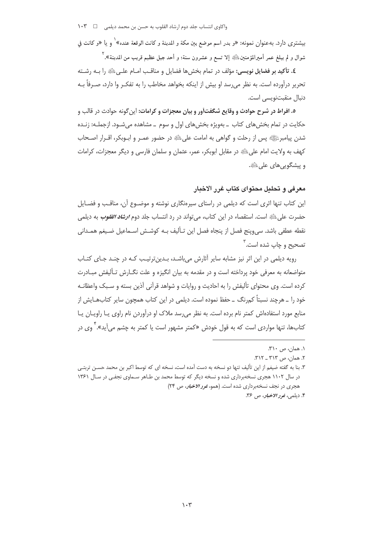بيشتري دارد. بهعنوان نمونه: «و بدر اسم موضع بين مكة و المدينة و كانت الوقعة عنده»` و يا «و كانت في شوال و لم يبلغ عمر أميرالمؤمنين،ﷺ إلا تسع و عشرون سنة؛ و أحد جبل عظيم قريب من المدينة». ٰ

٤. تأكيد بر فضايل نويسي: مؤلف در تمام بخش ها فضايل و مناقـب امـام علـي ﷺ را بـه رشـته تحریر درآورده است. به نظر می٫سد او بیش از اینکه بخواهد مخاطب را به تفکـر وا دارد، صـرفاً بـه دنبال منقبتنویسی است.

۵. افراط در شرح حوادث و وقایع شگفتآور و بیان معجزات و کرامات: این گونه حوادث در قالب و حکایت در تمام بخش های کتاب \_ بهویژه بخش های اول و سوم \_ مشاهده می شود. ازجملـه: زنـده شدن پیامبرﷺ پس از رحلت و گواهی به امامت علیﷺ در حضور عمـر و ابـوبکر، اقـرار اصـحاب كهف به ولايت امام على ﷺ در مقابل ابوبكر، عمر، عثمان و سلمان فارسى و ديگر معجزات، كرامات و پیشگویے های علی ﷺ.

## معرفي و تحليل محتواي كتاب غرر الاخبار

این کتاب تنها اثری است که دیلمی در راستای سپرهنگاری نوشته و موضـوع آن، مناقـب و فضـایل حضرت على ﷺ است. استقصاء در اين كتاب، مي تواند در رد انتساب جلد دوم *ارشاد القلوب ب*ه ديلمي نقطه عطفي باشد. سي,وينج فصل از پنجاه فصل اين تـأليف بـه كوشـش اسـماعيل ضـيغم همـداني تصحيح و چاپ شده است.<sup>۳</sup>

رویه دیلمی در این اثر نیز مشابه سایر آثارش می باشد، بـدینترتیب کـه در چنـد جـای کتـاب متواضعانه به معرفی خود پرداخته است و در مقدمه به بیان انگیزه و علت نگــارش تــألیفش مبــادرت كرده است. وى محتواى تأليفش را به احاديث و روايات و شواهد قرآنى آذين بسته و سـبك واعظانـه خود را \_ هرچند نسبتاً کم٫نگ \_ حفظ نموده است. دیلمی در این کتاب همچون سایر کتابهـایش از منابع مورد استفادهاش کمتر نام برده است. به نظر می رسد ملاک او درآوردن نام راوی یــا راویــان یــا کتابها، تنها مواردی است که به قول خودش «کمتر مشهور است یا کمتر به چشم می آید». ٌ وی در

١. همان، ص ٣١٠.

٢. همان، ص ٣١٣ \_ ٣١٢.

۳. بنا به گفته ضیغم از این تألیف تنها دو نسخه به دست آمده است، نسخه ای که توسط اکبر بن محمد حســن تربتــی در سال ۱۱۰۲ هجری نسخهبرداری شده و نسخه دیگر که توسط محمد بن طـاهر سـماوی نجفـی در سـال ۱۳۶۱ هجری در نجف نسخهبرداری شده است. (همو، *غور الاخبار، ص* ۲۴) ۴. ديلمي، *غور الاخبار*، ص ۳۶.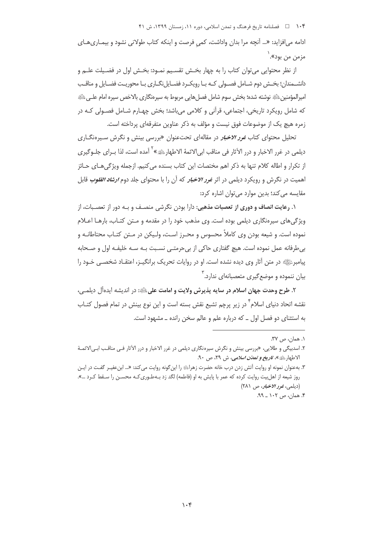ادامه میافزاید: «… آنچه مرا بدان واداشت، کمی فرصت و اینکه کتاب طولانی نشود و بیمـاریهـای مزمن من بود». ٰ

از نظر محتوایی می توان کتاب را به چهار بخــش تقسـیم نمـود: بخـش اول در فضـیلت علــم و دانشــمندان؛ بخــش دوم شــامل فصــولى كــه بــا رويكــرد فضــايل:نگــارى بــا محوريــت فضــايل و مناقــب امیرالمؤمنین،ﷺ نوشته شده؛ بخش سوم شامل فصل هایی مربوط به سیرەنگاری بالاخص سیره امام علــی، ﷺ که شامل رویکرد تاریخی، اجتماعی، قرآنی و کلامی می باشد؛ بخش چهـارم شــامل فصــولی کــه در زمره هیچ یک از موضوعات فوق نیست و مؤلف به ذکر عناوین متفرقهای پرداخته است.

تحلیل محتوای کتاب *غور الاخبار* در مقالهای تحتءنوان «بررسی بینش و نگرش سـیرهنگــاری ديلمي در غرر الاخبار و درر الآثار في مناقب ابي|لائمهٔ الاطهارﷺ» ` آمده است، لذا بــراي جلــوگيري از تکرار و اطاله کلام تنها به ذکر اهم مختصات این کتاب بسنده می کنیم. ازجمله ویژگی هـای حـائز اهمیت در نگرش و رویکرد دیلمی در اثر *غرر الاخبار* که آن را با محتوای جلد دوم *ارشاد القلوب* قابل مقایسه می کند؛ بدین موارد می توان اشاره کرد:

۱. رعایت انصاف و دوری از تعصبات مذهبی: دارا بودن نگرشی منصـف و بـه دور از تعصـبات، از ویژگیهای سپرهنگاری دیلمی بوده است. وی مذهب خود را در مقدمه و مـتن کتـاب، بارهـا اعـلام نموده است. و شیعه بودن وی کاملاً محسوس و محـرز اسـت، ولـیکن در مـتن کتـاب محتاطانــه و بی طرفانه عمل نموده است. هیچ گفتاری حاکی از بی حرمتبی نسبت بـه سـه خلیفـه اول و صـحابه پیامبرﷺ در متن آثار وی دیده نشده است. او در روایات تحریک برانگیـز، اعتقـاد شخصـی خـود را بیان ننموده و موضع گیری متعصبانهای ندارد. <sup>۱</sup>

٢. طرح وحدت جهان اسلام در سايه پذيرش ولايت و امامت علىﷺ: در انديشه ايدهأل ديلمـي، نقشه اتحاد دنیای اسلام<sup>۲</sup> در زیر پرچم تشیع نقش بسته است و این نوع بینش در تمام فصول کتـاب به استثنای دو فصل اول ــ که درباره علم و عالم سخن رانده ــ مشهود است.

١. همان، ص ٣٧.

۲. اسدبیگی و طلایی، «بررسی بینش و نگرش سیرهنگاری دیلمی در غرر الاخبار و درر الآثار فـی مناقـب ابـی|لائمـة الاطهارﷺ»، *تاريخ و تمدّن اسلامي*، ش ٢٩، ص ٩٠.

۳. بهعنوان نمونه او روایت آتش زدن درب خانه حضرت زهرای را این گونه روایت می کند: «… ابن عفیـر گفـت در ایـن روز شیعه از اهل بیت روایت کرده که عمر با پایش به او (فاطمه) لگد زد بـهطـوری کـه محسـن را سـقط کـرد …». (دیلمی، ن*فرو الاخبار، ص ۲۸۱*)

۴. همان، ص ۱۰۲ \_ ۹۹.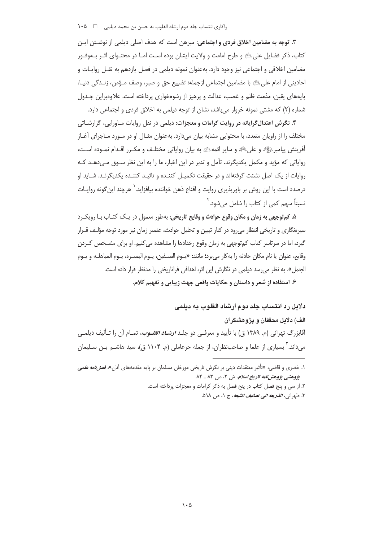۳. توجه به مضامین اخلاق فردی و اجتماعی: مبرهن است که هدف اصلی دیلمی از نوشــتن ایــن كتاب، ذكر فضايل على ﷺ و طرح امامت و ولايت ايشان بوده اسـت امـا در محتـواي اثـر بـهوفـور مضامین اخلاقی و اجتماعی نیز وجود دارد. بهعنوان نمونه دیلمی در فصل یازدهم به نقـل روایـات و احاديثي از امام على اللهِ با مضامين اجتماعي ازجمله: تضييع حق و صبر، وصف مـؤمن، زنـدگي دنيـا، یایههای یقین، مذمت ظلم و غصب، عدالت و پرهیز از رشوهخواری پرداخته است. علاوهبراین جـدول شماره (۲) که مشتی نمونه خروار مرباشد، نشان از توجه دیلمی به اخلاق فردی و احتماعی دارد.

۴. نگرش اعتدال گرایانه در روایت کرامات و معجزات: دیلمی در نقل روایات مـاورایی، گزارشـاتی مختلف را از راویان متعدد، با محتوایی مشابه بیان میدارد. بهعنوان مثـال او در مـورد مـاجرای آغـاز أفرينش پيامبرﷺ و على ﷺ و ساير ائمهﷺ به بيان رواياتي مختلـف و مكـرر اقـدام نمـوده اسـت، روایاتی که مؤید و مکمل یکدیگرند. تأمل و تدبر در این اخبار، ما را به این نظر سـوق مـیدهـد کـه روایات از یک اصل نشئت گرفتهاند و در حقیقت تکمیـل کننـده و تائیـد کننـده یکدیگرنـد. شـاید او درصدد است با این روش بر باورپذیری روایت و اقناع ذهن خواننده بیافزاید.` هرچند این گونه روایـات نسبتاً سھم کمی از کتاب را شامل مے شود. آ

۵. کم توجهي به زمان و مکان وقوع حوادث و وقايع تاريخي: بهطور معمول در يـک کتـاب بـا رويکـرد سیرهنگاری و تاریخی انتظار می رود در کنار تبیین و تحلیل حوادث، عنصر زمان نیز مورد توجه مؤلـف قــرار گیرد، اما در سرتاسر کتاب کمتوجهی به زمان وقوع رخدادها را مشاهده می کنیم. او برای مشــخص کــردن وقايع، عنوان يا نام مكان حادثه را به كار مي برد؛ مانند: «يــوم الصــفين، يــوم البصــره، يـوم المباهلــه و يــوم الجمل». به نظر می رسد دیلمی در نگارش این اثر، اهدافی فراتاریخی را مدنظر قرار داده است. ۶. استفاده از شعر و داستان و حکایات واقعی جهت زیبایی و تفهیم کلام.

دلایل رد انتساب چلد دوم ارشاد القلوب په دیلمی

الف) دلائل محققان و پژوهشگران آقابزرگ تهرانی (م. ۱۳۸۹ ق) با تأیید و معرفـی دو جلـد *ارشـاد القلــوب*، تمـام آن را تـألیف دیلمـی م ٫داند. ؓ بسیاری از علما و صاحب¿ظران، از جمله حرعاملی (م. ۱۱۰۴ ق)، سید هاشــم بــن ســلیمان

۱. خضری و قاضی، «تأثیر معتقدات دینی بر نگرش تاریخی مورخان مسلمان بر پایه مقدمههای آنان»، *فصل نامه علمی* پژوهشی پژوهش نامه تاریخ *اسلام،* ش ۲، ص ۸۳ ـ ۸۲.

٢. از سي و پنج فصل كتاب در پنج فصل به ذكر كرامات و معجزات پرداخته است.

٣. طهراني، *الذريعه الى تصانيف الشيعه*، ج ١، ص ٥١٨.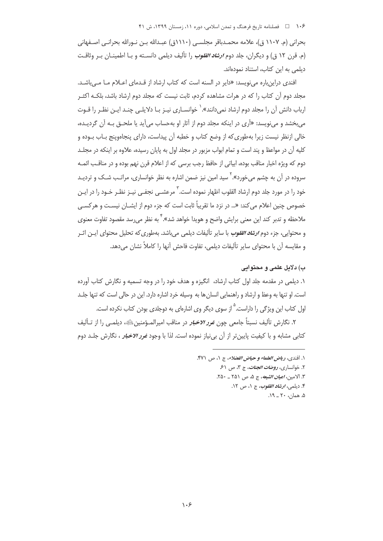بحراني (م. ١١٠٧ ق)، علامه محمـدباقر مجلسـي (١١١٠ق) عبـدالله بـن نـورالله بحرانـي اصـفهاني (م. قرن ١٢ ق) و ديگران، جلد دوم *ارشاد القلوب* را تأليف ديلمي دانسـته و بـا اطمينـان بـر وثاقـت دیلمی به این کتاب، استناد نمودهاند.

افندی دراینباره مینویسد: «دایر در السنه است که کتاب ارشاد از قـدمای اعـلام مـا مـ ,باشـد. مجلد دوم آن کتاب را که در هرات مشاهده کردم، ثابت نیست که مجلد دوم ارشاد باشد، بلکـه اکثـر ارباب دانش آن را محلد دوم ارشاد نمی دانند».<sup>\</sup> خوانسـاری نیـز بـا دلایلـی چنـد ایـن نظـر را قـوت مے بخشد و مے نویسد: «اَری در اینکه محلد دوم از آثار او بهحساب مے آید یا ملحــق بــه اَن گردیــده، خالی ازنظر نیست زیرا بهطوری که از وضع کتاب و خطبه آن پیداست، دارای پنجاهوینج بـاب بـوده و کلیه آن در مواعظ و پند است و تمام ابواب مزبور در مجلد اول به پایان رسیده، علاوه بر اینکه در مجلـد دوم که ویژه اخبار مناقب بوده، ابیاتی از حافظ رجب برسی که از اعلام قرن نهم بوده و در مناقب ائمـه سروده در آن به چشم میخورد».<sup>۲</sup> سید امین نیز ضمن اشاره به نظر خوانساری، مراتـب شـک و تردیـد خود را در مورد جلد دوم ارشاد القلوب اظهار نموده است. <sup>۲</sup> مرعشـ*ـی* نجفــی نیـز نظـر خـود را در ایـن خصوص چنین اعلام می کند: «… در نزد ما تقریباً ثابت است که جزء دوم از ایشــان نیسـت و هرکســی ملاحظه و تدبر کند این معنی برایش واضح و هویدا خواهد شد».<sup>۲</sup> به نظر می٫رسد مقصود تفاوت معنوی و محتوایی، جزء دوم *ارشاد القلوب* با سایر تألیفات دیلمی میباشد. بهطوری که تحلیل محتوای ایــن اثــر و مقايسه آن با محتواي ساير تأليفات ديلمي، تفاوت فاحش آنها را كاملاً نشان مي دهد.

## ب) دلايل علمي و محتواني

۱. دیلمی در مقدمه جلد اول کتاب ارشاد، انگیزه و هدف خود را در وجه تسمیه و نگارش کتاب آورده است. او تنها به وعظ و ارشاد و راهنمایی انسان ها به وسیله خرد اشاره دارد. این در حالی است که تنها جلـد اول کتاب این ویژگی را داراست.<sup>۵</sup> از سوی دیگر وی اشارهای به دوجلدی بودن کتاب نکرده است.

٢. نگارش تأليف نستاً حامعي حون <del>غور *الاخبا*ر</del> در مناقب امپرالمـؤمنين ﷺ، ديلمـي را از تـأليف کتابی مشابه و با کیفیت پایین تر از آن بی نیاز نموده است. لذا با وجود *غرر الاخبار* ، نگارش جلـد دوم

- ٢. خوانساري، روضات *الجنات*، ج ٣، ص ۶۱.
- ٣. الامين، *اعيان الشيعه*، ج ۵، ص ٢۵١ \_ ٢٥٠.
	- ۴. ديلمي، *ارشاد القلوب*، ج ١، ص ١٢.

 $\Lambda$ . همان، ۲۰ \_ ۱۹.

١. افندى، رياض العلماء و حياض الفضلاء، ج ١، ص ٣٧١.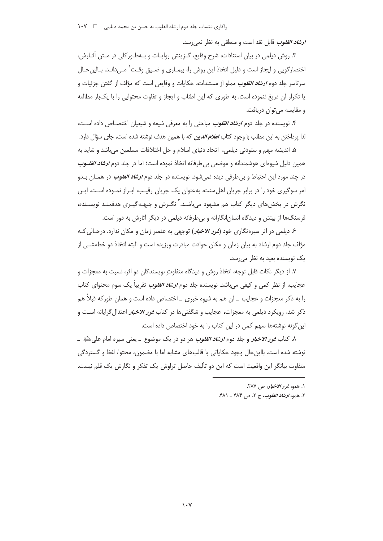*ارشاد القلوب* قابل نقد است و منطقی به نظر نمی رسد.

۳. روش دیلمی در بیان استنادات، شرح وقایع، گـزینش روایـات و بـهطـورکلی در مـتن آثـارش، اختصارگویی و ایجاز است و دلیل اتخاذ این روش را، بیمـاری و ضـیق وقـت ٰ مـی‹دانـد. بـااین حـال سرتاسر جلد دوم *ارشاد القلوب م*ملو از مستندات، حکایات و وقایع<sub>،</sub> است که مؤلف از گفتن جزئیات و یا تکرار آن دریغ ننموده است. به طوری که این اطناب و ایجاز و تفاوت محتوایی را با یکبار مطالعه و مقابسه می توان دریافت.

۴. نویسنده در جلد دوم *ارشاد القلوب مباحثی را به معرفی* شیعه و شیعیان اختصـاص داده اسـت، لذا پرداختن به این مطلب با وجود کتاب *اعلام الدین* که با همین هدف نوشته شده است، جای سؤال دارد.

۵. اندیشه مهم و ستودنی دیلمی، اتحاد دنیای اسلام و حل اختلافات مسلمین می باشد و شاید به همین دلیل شیوهای هوشمندانه و موضعی بی طرفانه اتخاذ نموده است؛ اما در جلد دوم *ارشاد القلـوب* در چند مورد این احتیاط و بی طرفی دیده نمی شود. نویسنده در جلد دوم *ارشاد القلوب* در همـان بـدو امر سوگیری خود را در برابر جریان اهل سنت، به عنوان یک جریان رقیب، ابـراز نمـوده اسـت. ایـن نگرش در بخش های دیگر کتاب هم مشهود می باشـد.<sup>۲</sup> نگـرش و جبهـه *گیـری* هدفمنـد نویسـنده، فرسنگها از بينش و ديدگاه انسان|نگارانه و بي طرفانه ديلمي در ديگر آثارش به دور است.

۶ـ دیلمی در اثر سپرهنگاری خود (*غرر الاخبار*) توجهی به عنصر زمان و مکان ندارد. درحـالی کـه مؤلف جلد دوم ارشاد به بیان زمان و مکان حوادث مبادرت ورزیده است و البته اتخاذ دو خطمشــی از یک نویسنده بعید به نظر می رسد.

۷. از دیگر نکات قابل توجه، اتخاذ روش و دیدگاه متفاوت نویسندگان دو اثر، نسبت به معجزات و عجایب، از نظر کمی و کیفی می،باشد. نویسنده جلد دوم *ارشاد القلوب تق*ریباً یک سوم محتوای کتاب را به ذکر معجزات و عجایب \_ آن هم به شیوه خبری \_ اختصاص داده است و همان طورکه قبلاً هم ذکر شد، رویکرد دیلمی به معجزات، عجایب و شگفتی ها در کتاب *غرر الاخبار* اعتدال *گ*رایانه اسـت و این گونه نوشتهها سهم کمی در این کتاب را به خود اختصاص داده است.

٨. کتاب *غور الاخبار* و جلد دوم *ارشاد القلوب* هر دو در یک موضوع \_ یعنی سیره امام عل*ی ب*ائِهِ \_ نوشته شده است. بااین حال وجود حکایاتی با قالبِهای مشابه اما با مضمون، محتوا، لفظ و گستردگی متفاوت بیانگر این واقعیت است که این دو تألیف حاصل تراوش یک تفکر و نگارش یک قلم نیست.

٢. همو، *ارشاد القلوب*، ج ٢، ص ٣٨۴ \_ ۴٨١.

١. همو، نمور الاخبار، ص ٢٨٧.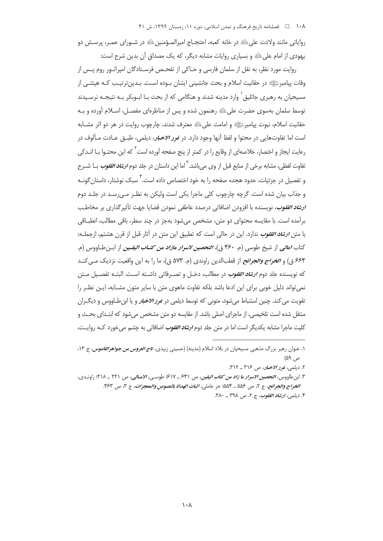رواياتي مانند ولادت على ﷺ در خانه كعبه، احتجــاج اميرالمــؤمنين ﷺ در شــوراي عمـر، پرســش دو يهودي از امام على اللهِ و بسياري روايات مشابه ديگر، كه يک مصداق آن بدين شرح است:

روايت مورد نظر، به نقل از سلمان فارسی و حـاکی از تفحـص فرسـتادگان امپراتـور روم پـس از وفات پیامبرﷺ در حقانیت اسلام و بحث جانشینی ایشان بـوده اسـت. بـدینترتیـب کـه هیئتـی از مسیحیان به رهبری جاثلیق` وارد مدینه شدند و هنگامی که از بحث بــا ابــوبکر بــه نتیجــه نرســیدند توسط سلمان بهسوی حضرت علیﷺ رهنمون شده و پس از مناظرهای مفصـل، اسـلام آورده و بـه حقانيت اسلام، نبوت پيامبرﷺ و امامت على ﷺ معترف شدند. چارچوب روايت در هر دو اثر مشــابه است اما تفاوتهایی در محتوا و لفظ آنها وجود دارد. در *غرر الاخبار*، دیلمی، طبــق عــادت مــألوف در رعايت ايجاز و اختصار، خلاصهاى از وقايع را در كمتر از پنج صفحه آورده است<sup>٢</sup> كه اين محتـوا بــا انــدكى تفاوت لفظی، مشابه برخی از منابع قبل از وی می<sub>ا</sub>بشد.<sup>۳</sup> اما این داستان در جلد دوم *ارش<i>اد القلوب بــا* شــرح و تفصیل در جزئیات، جدود هجده صفحه را به خود اختصاص داده است. ٌ سبک نوشتار، داستان *گ*ونــه و جذاب بیان شده است. گرچه چارچوب کلی ماجرا یکی است ولیکن به نظـر مـی٫رسـد در جلـد دوم ارش*اد القلوب*، نويسنده با افزودن اضافاتي درصدد عاطفي نمودن قضايا جهت تأثيرگذاري بر مخاطب برآمده است. با مقایسه محتوای دو متن، مشخص میشود بهجز در چند سطر، باقی مطالب، انطباقی با متن ار*شاد القلوب* ندارد. این در حالی است که تطبیق این متن در آثار قبل از قرن هشتم، ازجملـه: كتاب *امالي* از شيخ طوسي (م. ۴۶۰ ق)، *التحصين لاسرار مازاد من كتـاب اليقـين* از ابـن *ط*ـاووس (م. ۶۶۴ ق) و *الخراج والجرائح* از قطبالدین راوندی (م. ۵۷۳ ق)، ما را به این واقعیت نزدیک مے کنـد که نویسنده جلد دوم *ارشاد القلوب* در مطالب، دخـل و تصـرفاتی داشـته اسـت. البتـه تفصـیل مـتن نمی تواند دلیل خوبی برای این ادعا باشد بلکه تفاوت ماهوی متن با سایر متون مشـابه، ایـن نظـر را تقویت می کند. چنین استنباط می شود، متونی که توسط دیلمی در *غرر الاخبار* و یا ابن طـاووس و دیگــران منتقل شده است تلخیصی، از ماجرای اصلی باشد. از مقایسه دو متن مشخص می شود که ابتـدای بحـث و کلیت ماجرا مشابه یکدیگر است اما در متن جلد دوم *ارش<i>اد القلوب* اضافاتی به چشم می خورد کــه روایــت،

۱. عنوان رهبر بزرگ مذهبی مسیحیان در بلاد اسلام (مدینه) (حسینی زبیدی، *تاج العروس من جواهرالقاموس،* ج ۱۳.  $(\Delta^q, \rho)$ 

٢. ديلمي، ن*حور الاخبار،* ص ٣١۶ ـ ٣١٢.

٣. ابن طاووس، *التحصين الاسرار ما زاد من كتاب اليقين*، ص ٤٣١ ـ ٤١٧: طوسي، *الامـالي*، ص ٢٢١ ـ ٢١٨: راونـدي، الخراج والجرائح، ج ٢، ص ۵۵۶ \_ ۵۵۴؛ حر عاملي، اثبات الهداة بالنصوص والمعجزات، ج ٣، ص ٤٣٣. ۴. ديلمي، *ارشاد القلوب*، ج ۲، ص ٣٩٨ \_ ٣٨٠.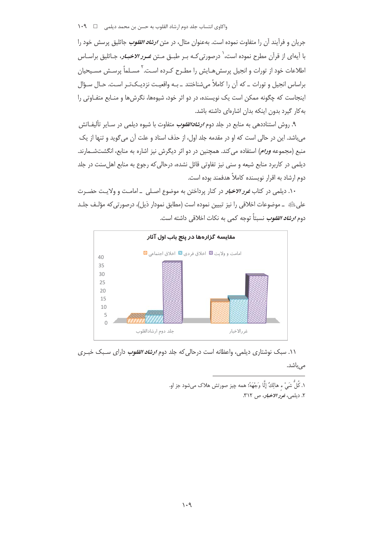جریان و فرآیند آن را متفاوت نموده است. بهعنوان مثال، در متن *ارشاد القلوب* جاثلیق پرسش خود را با آیهای از قرآن مطرح نموده است،<sup>\</sup> درصورتی *ک*ـه بــر طبــق مــتن *غــرو الاخبــار*، جــاثليق براســاس اطلاعات خود از تورات و انجیل پرسش هـایش را مطـرح کـرده اسـت.<sup>۲</sup> مسـلماً پرسـش مسـیحیان براساس انجیل و تورات \_ که آن را کاملاً می شناختند \_ بـه واقعیـت نزدیـکتـر اسـت. حـال سـؤال اینجاست که چگونه ممکن است یک نویسنده، در دو اثر خود، شیوهها، نگرشها و منـابع متفـاوتی را به کار گیرد بدون اینکه بدان اشارهای داشته باشد.

۹. روش استناددهی به منابع در جلد دوم *ارشادالقلوب* متفاوت با شیوه دیلمی در سـایر تألیفـاتش میباشد. این در حالی است که او در مقدمه جلد اول، از حذف اسناد و علت آن می گوید و تنها از یک منبع (مجموعه *ورام*) استفاده می کند. همچنین در دو اثر دیگرش نیز اشاره به منابع، انگشتشــمارند. دیلمی در کاربرد منابع شیعه و سنی نیز تفاوتی قائل نشده، درحالی که رجوع به منابع اهل سنت در جلد دوم ارشاد به اقرار نویسنده کاملاً هدفمند بوده است.

۱۰. دیلمی در کتاب *غور الاخبار* در کنار پرداختن به موضوع اصـلی \_امامـت و ولایـت حضـرت على ﷺ \_ موضوعات اخلاقي را نيز تبيين نموده است (مطابق نمودار ذيل)، درصورتي كه مؤلـف جلـد دوم *ارشاد القلوب نسبتاً توجه* كمي به نكات اخلاقي داشته است.



۱۱. سبک نوشتاری دیلمی، واعظانه است درحالی که جلد دوم *ارشاد القلوب* دارای سـبک خبـری

مے ،باشد.

١. كُلُّ شَىٰ ء هالِكٌ إِلَّا وَجْهَهُ؛ همه چيز صورتش هلاک مىشود جز او. ٢. ديلمي، نمور *الاخبار*، ص ٣١٢.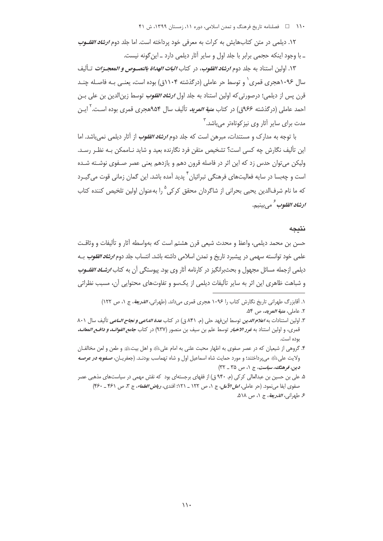۱۲. دیلمی در متن کتابهایش به کرات به معرفی خود پرداخته است. اما جلد دوم *ارشاد القلـوب* \_ با وجود اینکه حجمی برابر با جلد اول و سایر آثار دیلمی دارد \_ این گونه نیست.

۱۳. اولین استناد به جلد دوم *ارشاد القلوب،* در کتاب *اثب<i>ات الهداة بالنصــوص و المعجــزات تـ*أليف سال ۱۰۹۶هجری قمری` و توسط حر عاملی (درگذشته ۱۱۰۴ق) بوده است، یعنـی بـه فاصـله چنـد قرن پس از دیلمی؛ درصورتی که اولین استناد به جلد اول *ارشاد القلوب* توسط زین|لدین بن علی بـن احمد عاملی (درگذشته ۹۶۶ق) در کتاب *منیة المرید* تألیف سال ۹۵۴هجری قمری بوده اسـت.<sup>٬</sup> ایـن مدت برای سایر آثار وی نیز کوتاهتر مے باشد. <sup>۳</sup>

با توجه به مدارک و مستندات، مبرهن است که جلد دوم *ارشاد القلوب* از آثار دیلمی نمی باشد. اما این تألیف نگارش چه کسی است؟ تشخیص متقن فرد نگارنده بعید و شاید نـاممکن بـه نظـر رسـد. ولیکن میتوان حدس زد که این اثر در فاصله قرون دهم و یازدهم یعنی عصر صـفوی نوشـته شـده است و چەبسا در سايە فعاليتھاي فرهنگي تېرائيان<sup>۴</sup> پديد آمده باشد. اين گمان زماني قوت مي *گي*ـرد که ما نام شرفالدین یحیی بحرانی از شاگردان محقق کرکی<sup>0</sup> را بهعنوان اولین تلخیص کننده کتاب *ادشاد القلوب تهجم* بينيم.

## نتىجە

حسن بن محمد دیلمی، واعظ و محدث شیعی قرن هشتم است که بهواسطه آثار و تألیفات و وثاقـت علمي خود توانسته سهمي در پيشبرد تاريخ و تمدن اسلامي داشته باشد. انتساب جلد دوم *ارشاد القلوب بـ*ه دیلمی ازجمله مسائل مجهول و بحثبرانگیز در کارنامه آثار وی بود. پیوستگی آن به کتاب *ارشـاد القلــوب* و شباهت ظاهری این اثر به سایر تألیفات دیلمی از یکسو و تفاوتهای محتوایی آن، مسبب نظراتی

١. آقابزرگ طهرانی تاریخ نگارش کتاب را ١٠٩۶ هجری قمری می داند. (طهرانی، *الذریعة*، ج ١، ص ١٢٢) ٢. عاملي، م*نية المويد*، ص ۵۴.

۳. اولین استنادات به *اعلام الدین* توسط ابن فهد حلی (م. ۸۴۱ ق) در کتاب *عدة الداعی و <del>نجا</del>ح الساعی* تألیف سال ۸۰۱ قمرى، و اولين استناد به *غور الاخبار* توسط علم بن سيف بن منصور (٩٣٧) در كتاب *جامع الفوائـد و دافـع المعانـد* بوده است.

۴. گروهی از شیعیان که در عصر صفوی به اظهار محبت علنی به امام علیﷺ و اهل بیتﷺ و طعن و لعن مخالفـان ولايت على لخلهِ مي پرداختند؛ و مورد حمايت شاه اسماعيل اول و شاه تهماسب بودنـد. (جعفريــان، ص*ـفويه در عرصـه* دين، فرهنگ، سياست، ج ١، ص ٣٥ \_ ٣٢)

۵. علی بن حسین بن عبدالعالی کرکی (م. ۹۴۰ ق) از فقهای برجستهای بود که نقش مهمی در سیاستهای مذهبی عصر صفوى ايفا مى نمود. (حر عاملى، *امل الآمل*، ج ١، ص ١٢٢ \_ ١٢١؛ افندى، *رياض العلماء*، ج ٣، ص ٤٦١ \_ ٣۶٠) ع طهراني، *الذريعة*، ج ١، ص ٥١٨.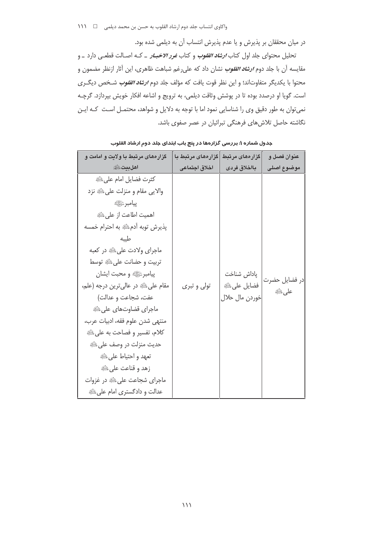در میان محققان بر پذیرش و یا عدم پذیرش انتساب آن به دیلمی شده بود.

تحلیل محتوای جلد اول کتاب *ارشاد القلوب* و کتاب *غور الاخبـار* ـ کـه اصـالت قطعـی دارد ـ و مقایسه آن با جلد دوم *ارشاد انقلوب نشان* داد که علی رغم شباهت ظاهری، این آثار ازنظر مضمون و محتوا با يكديگر متفاوتاند؛ و اين نظر قوت يافت كه مؤلف جلد دوم *ارشاد القلوب* شـخص ديگــرى است. گویا او درصدد بوده تا در پوشش وثاقت دیلمی، به ترویج و اشاعه افکار خویش بپردازد. گرچـه نمی توان به طور دقیق وی را شناسایی نمود اما با توجه به دلایل و شواهد، محتمـل اسـت کـه ایـن نگاشته حاصل تلاش های فرهنگی تبرائیان در عصر صفوی باشد.

| گزار ههای مرتبط با ولایت و امامت و                                                                                                                                                                                                                                               | گزار ەھاى مرتبط با | گزار <i>ه</i> ای مرتبط                       | عنوان فصل و            |
|----------------------------------------------------------------------------------------------------------------------------------------------------------------------------------------------------------------------------------------------------------------------------------|--------------------|----------------------------------------------|------------------------|
| <b>اهلبيت</b> ﷺ                                                                                                                                                                                                                                                                  | اخلاق اجتماعى      | بااخلاق فردى                                 | موضوع أصلى             |
| كثرت فضايل امام على ﷺ<br>والايي مقام و منزلت علىﷺ نزد<br><b>پيامبر</b> ﷺ<br>اهميت اطاعت از على ﷺ<br>پذیرش توبه آدمﷺ به احترام خمسه<br>طيبه<br>ماجراي ولادت على عليه در كعبه                                                                                                      |                    |                                              |                        |
| تربيت و حضانت على ﷺ توسط<br>پیامبرﷺ و محبت ایشان<br>مقام على ﷺ در عالى ترين درجه (علم،<br>عفت، شجاعت و عدالت)<br>ماجراي قضاوتهاي على ﷺ<br>منتهى شدن علوم فقه، ادبيات عرب،<br>كلام، تفسير و فصاحت به على ﷺ<br>حديث منزلت در وصف على ﷺ<br>تعهد و احتياط على ﷺ<br>زهد و قناعت على ﷺ | تولی و تبری        | پاداش شناخت<br>فضايل على ﷺ<br>خوردن مال حلال | در فضایل حضرت<br>على ﷺ |
| ماجرای شجاعت علی ﷺ در غزوات<br>عدالت و دادگستری امام علی ﷺ                                                                                                                                                                                                                       |                    |                                              |                        |

جدول شماره ۱: بررسی گزارهها در پنج باب ابتدای جلد دوم ارشاد القلوب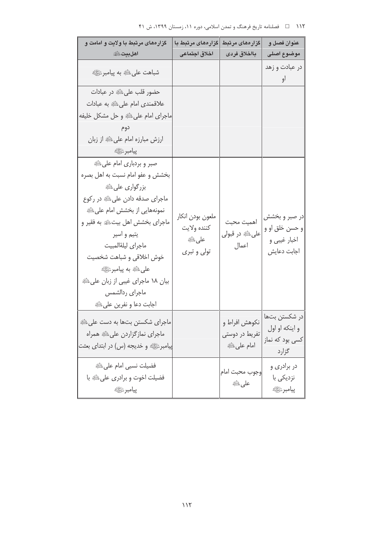| ۱۱۲ هـ المسلنامه تاریخ فرهنگ و تمدن اسلامی، دوره ۱۱، زمستان ۱۳۹۹، ش ۴۱ |  |  |
|------------------------------------------------------------------------|--|--|

| گزار ههای مرتبط با ولایت و امامت و<br><b>اهلبيت</b> ﷺ                                                                                                                                                                                                                                                                                              | گزارەھای مرتبط با<br>اخلاق اجتماعى                                      | گزارەھای مرتبط<br>بااخلاق فردى               | عنوان فصل و<br>موضوع اصلى                                                   |
|----------------------------------------------------------------------------------------------------------------------------------------------------------------------------------------------------------------------------------------------------------------------------------------------------------------------------------------------------|-------------------------------------------------------------------------|----------------------------------------------|-----------------------------------------------------------------------------|
| شباهت على ﷺ به پيامبرﷺ                                                                                                                                                                                                                                                                                                                             |                                                                         |                                              | در عبادت و زهد<br>او                                                        |
| حضور قلب علىﷺ در عبادات<br>علاقمندي امام على ﷺ به عبادات<br>ماجرای امام علیﷺ و حل مشکل خلیفه<br>دوم<br>ارزش مبارزه امام على ﷺ از زبان<br>پيامبر ﷺ                                                                                                                                                                                                  |                                                                         |                                              |                                                                             |
| صبر و بردباری امام علیﷺ<br>بخشش و عفو امام نسبت به اهل بصره<br>بزرگواری علیﷺ<br>ماجرای صدقه دادن علیﷺ در رکوع<br>نمونههایی از بخشش امام علیﷺ<br>ماجرای بخشش اهل بیتﷺ به فقیر و<br>يتيم و اسير<br>ماجراى ليلةالمبيت<br>خوش اخلاقي و شباهت شخصيت<br>علىﷺ به پيامبرﷺ<br>بیان ۱۸ ماجرای غیبی از زبان علی ﷺ<br>ماجراي ردالشمس<br>اجابت دعا و نفرين علىﷺ | ملعون بودن انكار<br>كننده ولايت<br><b>على</b> الثَّلَيْة<br>تولی و تبری | اهميت محبت<br>علىﷺ در قبول <i>ى</i><br>اعمال | در صبر و بخشش<br>و حسن خلق او و<br>اخبار غیبی و<br>اجابت دعايش              |
| ماجرای شکستن بتها به دست علیﷺ<br>ماجراي نمازگزاردن علىﷺ همراه<br>پیامبرﷺ و خدیجه (س) در ابتدای بعثت                                                                                                                                                                                                                                                |                                                                         | تفریط در دوستی<br>امام على ﷺ                 | در شكستن بتها   نكوهش افراط و<br>و اينكه او اول<br>کسی بود که نماز<br>گزارد |
| فضيلت نسبى امام على ﷺ<br>فضیلت اخوت و برادری علیﷺ با<br>پيامبر ﷺ                                                                                                                                                                                                                                                                                   |                                                                         | وجوب محبت امام<br>على طَيَّةِ                | در برادر <i>ی</i> و<br>نزدیکی با<br>پيامبر ﷺ                                |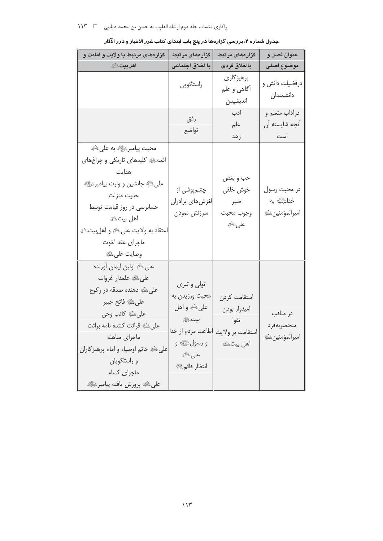| گزار ههای مرتبط با ولایت و امامت و                                                                                                                                                                                                                                  | گزارەھاى مرتبط                                                                                                          | گزار <i>مه</i> ای مر <mark>تبط</mark>                                | عنوان فصل و                                   |
|---------------------------------------------------------------------------------------------------------------------------------------------------------------------------------------------------------------------------------------------------------------------|-------------------------------------------------------------------------------------------------------------------------|----------------------------------------------------------------------|-----------------------------------------------|
| <b>اهلبيت</b> ﷺ                                                                                                                                                                                                                                                     | با اخلاق اجتماعی                                                                                                        | بااخلاق فردى                                                         | موضوع اصلى                                    |
|                                                                                                                                                                                                                                                                     | راستگویی                                                                                                                | پرهيز گارى<br>أگاهي و علم<br>انديشيدن                                | درفضیلت دانش و<br>دانشمندان                   |
|                                                                                                                                                                                                                                                                     | رفق<br>تواضع                                                                                                            | ادب<br>علم<br>زهد                                                    | درآداب متعلم و<br>آنچه شایسته آن<br>است       |
| محبت پیامبرﷺ به علی ٿَلا<br>ائمهﷺ کلیدهای تاریکی و چراغهای<br>هدايت<br>على ٿَلَةِ جانشين و وارث پيامبرﷺ<br>حديث منزلت<br>حسابرسی در روز قیامت توسط<br>اهل بيتﷺ<br>اعتقاد به ولايت على الله و اهل بيت الله<br>ماجرای عقد اخوت<br>وصايت على لثَيْةِ                   | چشمپوشی از<br>لغزشهاى برادران<br>سرزنش نمودن                                                                            | حب و بغض<br>خوش خلقى<br>صبر<br>وجوب محبت<br>على التَّلِهِ            | در محبت رسول<br>خداﷺ به<br>اميرالمؤمنين الآية |
| على ﷺ اولين ايمان آورنده<br>على الله علمدار غزوات<br>علىﷺ دهنده صدقه در ركوع<br>على ﷺ فاتح خيبر<br>علىﷺ كاتب وحي<br>علىﷺ قرائت كننده نامه برائت<br>ماجراي مباهله<br>على ﷺ خاتم اوصياء و امام پرهيز كاران<br>و راستگویان<br>ماجراى كساء<br>على ڭ پرورش يافته پيامبرﷺ | تولی و تبری<br>محبت ورزيدن به<br>على ﷺ و اهل<br>بيت ﷺ<br>طاعت مردم از خدا<br>و رسولﷺ و<br>على اللَّيْةِ<br>انتظار قائمﷺ | استقامت كردن<br>اميدوار بودن<br>تقوا<br>استقامت بر ولايت<br>اهل بيتﷺ | در مناقب<br>منحصربهفرد<br>اميرالمؤمنين طائة   |

| جدول شماره ۲: بررسی گزارهها در پنج باب ابتدای کتاب غرر الاخبار و درر الآثار |  |  |
|-----------------------------------------------------------------------------|--|--|
|                                                                             |  |  |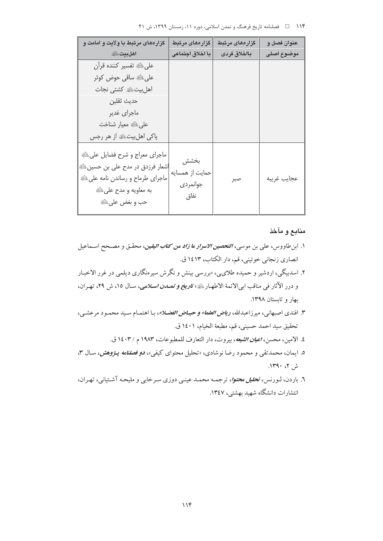| گزار ههای مرتبط با ولایت و امامت و                                                                                                                | گزار ەھاي مرتبط                             | گزارەھای مرتبط | عنوان فصل و |
|---------------------------------------------------------------------------------------------------------------------------------------------------|---------------------------------------------|----------------|-------------|
| <b>اهلبيت</b> ﷺ                                                                                                                                   | با اخلاق اجتماعي                            | بااخلاق فردى   | موضوع اصلى  |
| على ﷺ تفسير كننده قرآن                                                                                                                            |                                             |                |             |
| علىﷺ ساقى حوض كوثر                                                                                                                                |                                             |                |             |
| اهل بيتﷺ كشتى نجات                                                                                                                                |                                             |                |             |
| حديث ثقلين                                                                                                                                        |                                             |                |             |
| ماجراي غدير                                                                                                                                       |                                             |                |             |
| على ﷺ معيار شناخت                                                                                                                                 |                                             |                |             |
| پاکی اهلبیت، علیه از هر رجس                                                                                                                       |                                             |                |             |
| ماجراي معراج و شرح فضايل على ﷺ<br>اشعار فرزدق در مدح علی بن حسین ﷺ<br>ماجرای طرماح و رساندن نامه علی ﷺ<br>به معاويه و مدح على ﷺ<br>حب و بغض على ﷺ | بخشش<br>حمايت از همسايه<br>جوانمردى<br>نفاق | صبر            | عجايب غريبه |

#### منابع و مآخذ

- ۱. ابن طاووس، علي بن موسى، *التحصين الاسرار ما زاد من كتاب اليقين*، محقـق و مصـحح اسـماعيل انصاري زنجاني خوئيني، قم، دار الكتاب، ١٤١٣ ق.
- ۲. اسدبیگی، اردشیر و حمیده طلای<sub>ک</sub>ی، «بررسی بینش و نگرش سیرهنگاری دیلمی در غرر الاخبـار و درر الآثار في مناقب ابي الائمة الاطهـار ﷺ» *تاريخ و تمــدن اسـلامي*، سـال ١٥، ش ٢٩، تهـران، ىھار و تائستان ١٣٩٨.
- ٣. افندي اصبهاني، ميرزاعبدالله، *رياض العلماء و حيـاض الفضـلاء*، بـا اهتمـام سـيد محمـود مرعشـي، تحقيق سيد احمد حسيني، قم، مطبعة الخيام، ١٤٠١ ق.
	- ٤. الامين، محسن، *اعيان الشيعه*، بيروت، دار التعارف للمطبوعات، ١٩٨٣ م / ١٤٠٣ ق.
- ٥. ايمان، محمدتقى و محمود رضا نوشادى، «تحليل محتواى كيفي»، *دو فصلنامه پـژوهش*، سـال ٣، ش ۲، ۱۳۹۰.
- ٦. باردن، لـورنس، *تحليل محتوا*، ترجمـه محمـد عينـي دوزي سـرخابي و مليحـه آشـتياني، تهـران، انتشارات دانشگاه شهید بهشتی، ۱۳٤۷.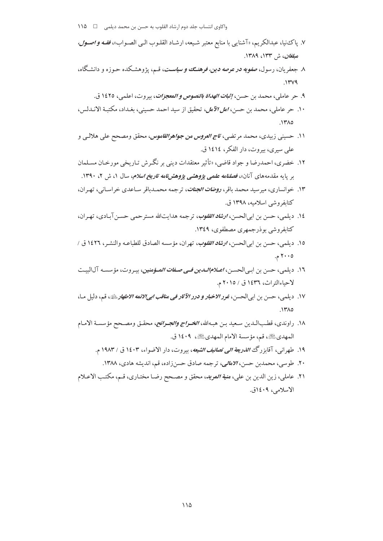- ٧. ياكِنيا، عبدالكريم، «آشنايي با منابع معتبر شيعه، ارشـاد القلـوب الـي الصـواب»، *فقـه و اصـول،* م*بلغان*، ش ۱۳۳، ۱۳۸۹.
- ۸. جعفریان، رسول، *صفویه در عرصه دین، فرهنگ و سیاسـت*، قـم، یژوهشـكده حـوزه و دانشـگاه،  $.144$ 
	- ۹. حر عاملي، محمد بن حسن، *إثبات الهداة بالنصوص و المعجزات*، بيروت، اعلمي، ١٤٢٥ ق.
- ١٠. حر عاملي، محمد بن حسن، *امل الآمل*، تحقيق از سيد احمد حسيني، بغـداد، مكتبـة الانـدلس،  $.17A0$
- ۱۱. حسینی زبیدی، محمد مرتضی، ت*اج العروس من جواهرالقاموس، محقق و*مصحح علی هلالی و علي سيري، بيروت، دار الفكر، ١٤١٤ ق.
- ۱۲. خضري، احمدرضا و جواد قاضي، «تأثير معتقدات ديني بر نگـرش تـاريخي مورخـان مسـلمان بر یایه مقدمههای آنان»، *فصلنامه علمی پژوهشی پژوهشنامه تاریخ اسلام*، سال ۱، ش ۲، ۱۳۹۰.
- ۱۳. خوانساری، میرسید محمد باقر، *روضات الجنات*، ترجمه محمـدباقر سـاعدی خراسـانـ<sub>،</sub>، تهـران، كتابفروشي اسلاميه، ١٣٩٨ ق.
- ١٤. ديلمي، حسن بن ابي الحسن، *ارشاد القلوب*، ترجمه هدايتالله مسترحمي حسن آبـادي، تهـران، کتابفروشی بوذرجمهری مصطفوی، ۱۳٤۹.
- ١٥. ديلمي، حسن بن ابي الحسن، *ارشاد القلوب*، تهران، مؤسسه الصادق للطباعـه والنشـر، ١٤٢٦ ق /  $\cdot$ ۲۰۰۰ م.
- ١٦. ديلمي، حسن بن ابي الحسـن، *اعـلام الـدين فـي صـفات المـؤمنين*، بيـروت، مؤسسـه آل|لبيـت لاحباءالتراث، ١٤٣٦ ق / ٢٠١٥م.
- ۱۷. ديلمي، حسن بن ابي|لحسن، *غور الاخبار و درر الآثار في مناقب ابي|لائمه الاطهار. بله*، قم، دليل مـا،  $NTAO$
- ١٨. راوندي، قطبالـدين سـعيد بـن هبـهالله، *الخـراج والجـرائح*، محقـق ومصـحح مؤسسـة الامـام المهديﷺ، قم، مؤسسة الأمام المهديﷺ، ١٤٠٩ ق.
	- ۱۹. طهرانبي، آقابزرگ *الذريعة الى تصانيف الشيعه*، بيروت، دار الاضواء، ۱٤۰۳ ق / ۱۹۸۳ م.
		- ۲۰. طوسی، محمدبن حسن، *الامالی،* ترجمه صادق حسن زاده، قم، اندیشه هادی، ۱۳۸۸.
- ٢١. عاملي، زين الدين بن علي، م*نية المريد*، محقق و مصـحح رضـا مختـاري، قـم، مكتـب الاعـلام الاسلامي، ١٤٠٩ق.